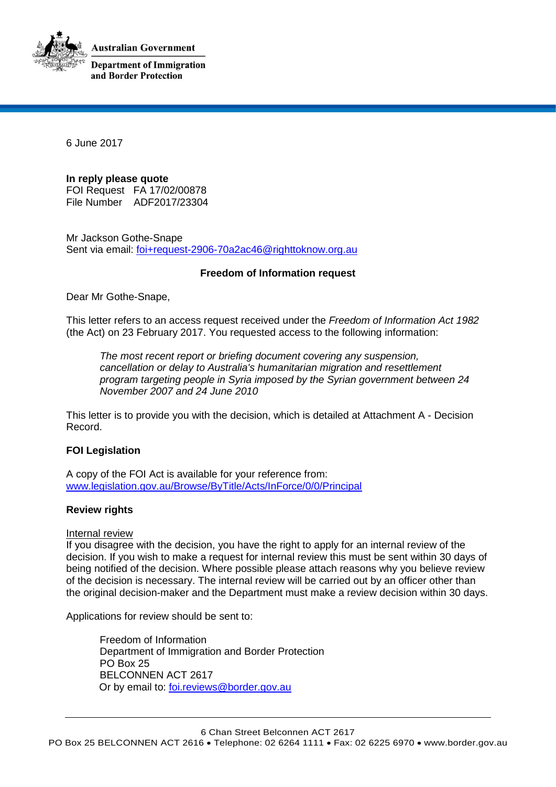**Australian Government** 



**Department of Immigration** and Border Protection

6 June 2017

**In reply please quote** FOI Request FA 17/02/00878 File Number ADF2017/23304

Mr Jackson Gothe-Snape Sent via email: foi+request-2906-70a2ac46@righttoknow.org.au

# **Freedom of Information request**

Dear Mr Gothe-Snape,

This letter refers to an access request received under the *Freedom of Information Act 1982* (the Act) on 23 February 2017. You requested access to the following information:

*The most recent report or briefing document covering any suspension, cancellation or delay to Australia's humanitarian migration and resettlement program targeting people in Syria imposed by the Syrian government between 24 November 2007 and 24 June 2010*

This letter is to provide you with the decision, which is detailed at Attachment A - Decision Record.

# **FOI Legislation**

A copy of the FOI Act is available for your reference from: www.legislation.gov.au/Browse/ByTitle/Acts/InForce/0/0/Principal

# **Review rights**

#### Internal review

If you disagree with the decision, you have the right to apply for an internal review of the decision. If you wish to make a request for internal review this must be sent within 30 days of being notified of the decision. Where possible please attach reasons why you believe review of the decision is necessary. The internal review will be carried out by an officer other than the original decision-maker and the Department must make a review decision within 30 days.

Applications for review should be sent to:

Freedom of Information Department of Immigration and Border Protection PO Box 25 BELCONNEN ACT 2617 Or by email to: foi.reviews@border.gov.au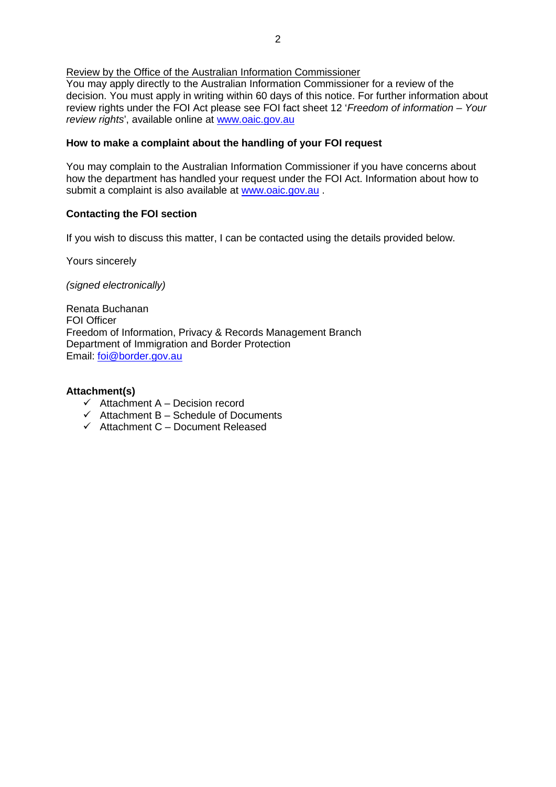Review by the Office of the Australian Information Commissioner

You may apply directly to the Australian Information Commissioner for a review of the decision. You must apply in writing within 60 days of this notice. For further information about review rights under the FOI Act please see FOI fact sheet 12 '*Freedom of information – Your review rights*', available online at www.oaic.gov.au

#### **How to make a complaint about the handling of your FOI request**

You may complain to the Australian Information Commissioner if you have concerns about how the department has handled your request under the FOI Act. Information about how to submit a complaint is also available at www.oaic.gov.au.

# **Contacting the FOI section**

If you wish to discuss this matter, I can be contacted using the details provided below.

Yours sincerely

*(signed electronically)*

Renata Buchanan FOI Officer Freedom of Information, Privacy & Records Management Branch Department of Immigration and Border Protection Email: foi@border.gov.au

#### **Attachment(s)**

- $\checkmark$  Attachment A Decision record
- $\checkmark$  Attachment B Schedule of Documents
- $\checkmark$  Attachment C Document Released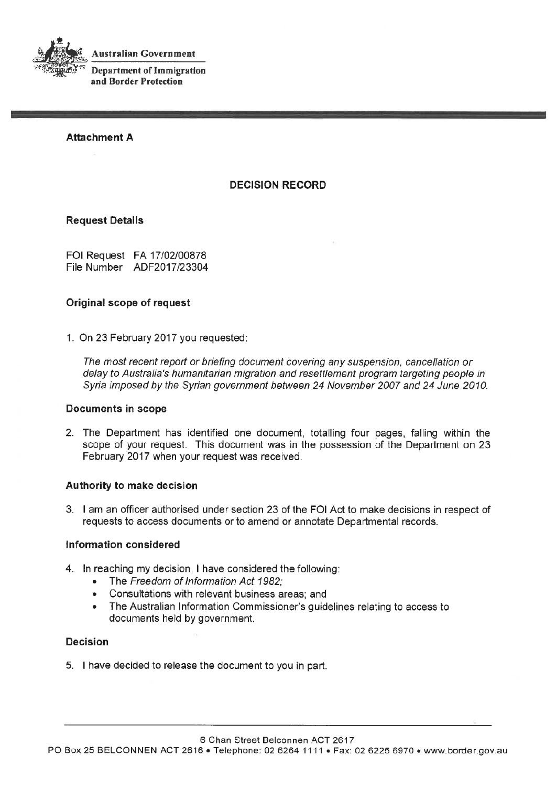

**Australian Government** 

**Department of Immigration** and Border Protection

**Attachment A** 

# **DECISION RECORD**

#### **Request Details**

FOI Request FA 17/02/00878 File Number ADF2017/23304

# Original scope of request

1. On 23 February 2017 you requested:

The most recent report or briefing document covering any suspension, cancellation or delay to Australia's humanitarian migration and resettlement program targeting people in Syria imposed by the Syrian government between 24 November 2007 and 24 June 2010.

# **Documents in scope**

2. The Department has identified one document, totalling four pages, falling within the scope of your request. This document was in the possession of the Department on 23 February 2017 when your request was received.

# Authority to make decision

3. I am an officer authorised under section 23 of the FOI Act to make decisions in respect of requests to access documents or to amend or annotate Departmental records.

#### Information considered

- 4. In reaching my decision, I have considered the following:
	- The Freedom of Information Act 1982;  $\bullet$
	- Consultations with relevant business areas; and  $\bullet$  .
	- The Australian Information Commissioner's guidelines relating to access to documents held by government.

#### **Decision**

5. I have decided to release the document to you in part.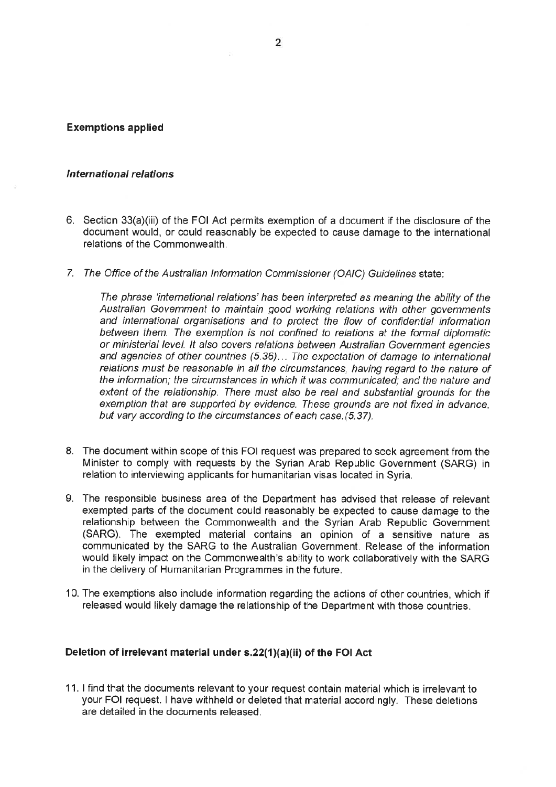#### **Exemptions applied**

#### International relations

- 6. Section 33(a)(iii) of the FOI Act permits exemption of a document if the disclosure of the document would, or could reasonably be expected to cause damage to the international relations of the Commonwealth.
- 7. The Office of the Australian Information Commissioner (OAIC) Guidelines state:

The phrase 'international relations' has been interpreted as meaning the ability of the Australian Government to maintain good working relations with other governments and international organisations and to protect the flow of confidential information between them. The exemption is not confined to relations at the formal diplomatic or ministerial level. It also covers relations between Australian Government agencies and agencies of other countries (5.36)... The expectation of damage to international relations must be reasonable in all the circumstances, having regard to the nature of the information; the circumstances in which it was communicated; and the nature and extent of the relationship. There must also be real and substantial grounds for the exemption that are supported by evidence. These grounds are not fixed in advance. but vary according to the circumstances of each case. (5.37).

- 8. The document within scope of this FOI request was prepared to seek agreement from the Minister to comply with requests by the Syrian Arab Republic Government (SARG) in relation to interviewing applicants for humanitarian visas located in Syria.
- 9. The responsible business area of the Department has advised that release of relevant exempted parts of the document could reasonably be expected to cause damage to the relationship between the Commonwealth and the Syrian Arab Republic Government (SARG). The exempted material contains an opinion of a sensitive nature as communicated by the SARG to the Australian Government. Release of the information would likely impact on the Commonwealth's ability to work collaboratively with the SARG in the delivery of Humanitarian Programmes in the future.
- 10. The exemptions also include information regarding the actions of other countries, which if released would likely damage the relationship of the Department with those countries.

#### Deletion of irrelevant material under s.22(1)(a)(ii) of the FOI Act

11. I find that the documents relevant to your request contain material which is irrelevant to your FOI request. I have withheld or deleted that material accordingly. These deletions are detailed in the documents released.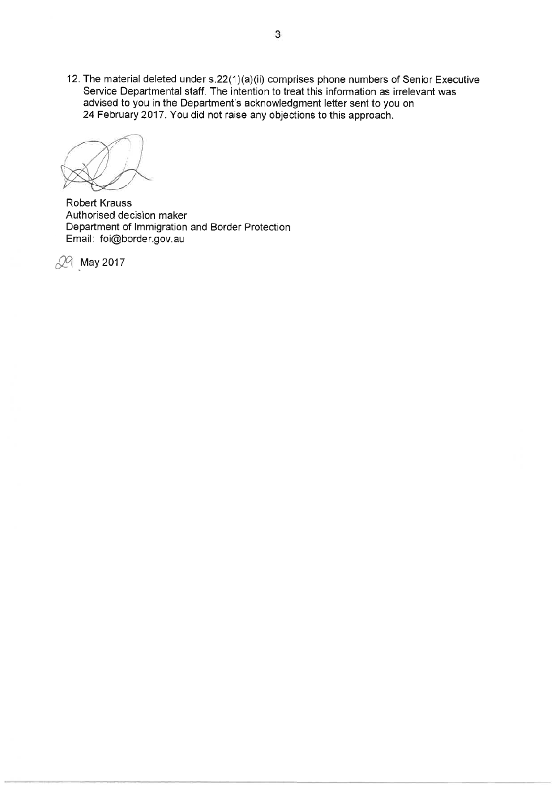12. The material deleted under s.22(1)(a)(ii) comprises phone numbers of Senior Executive Service Departmental staff. The intention to treat this information as irrelevant was advised to you in the Department's acknowledgment letter sent to you on 24 February 2017. You did not raise any objections to this approach.

Robert Krauss Authorised decision maker Department of Immigration and Border Protection Email: foi@border.gov.au

29 May 2017